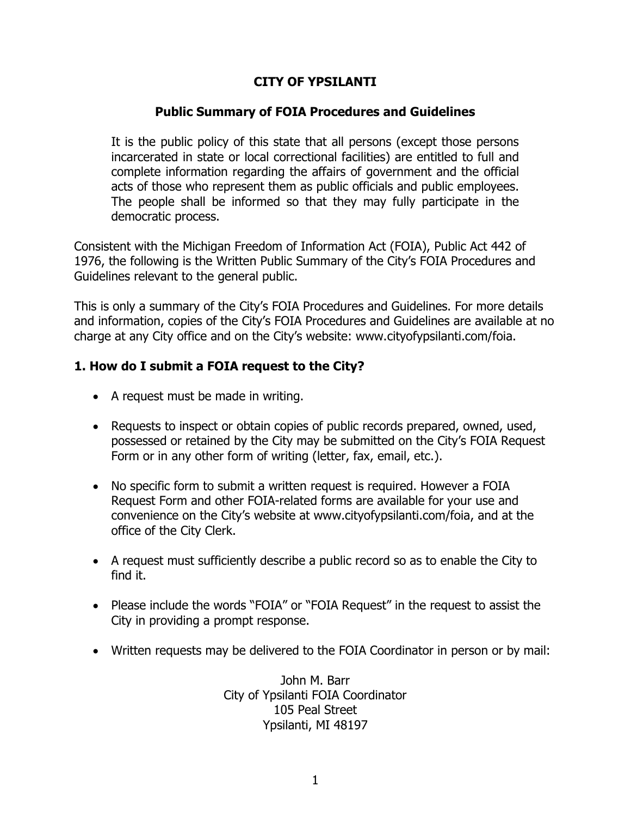## **CITY OF YPSILANTI**

#### **Public Summary of FOIA Procedures and Guidelines**

It is the public policy of this state that all persons (except those persons incarcerated in state or local correctional facilities) are entitled to full and complete information regarding the affairs of government and the official acts of those who represent them as public officials and public employees. The people shall be informed so that they may fully participate in the democratic process.

Consistent with the Michigan Freedom of Information Act (FOIA), Public Act 442 of 1976, the following is the Written Public Summary of the City's FOIA Procedures and Guidelines relevant to the general public.

This is only a summary of the City's FOIA Procedures and Guidelines. For more details and information, copies of the City's FOIA Procedures and Guidelines are available at no charge at any City office and on the City's website: www.cityofypsilanti.com/foia.

#### **1. How do I submit a FOIA request to the City?**

- A request must be made in writing.
- Requests to inspect or obtain copies of public records prepared, owned, used, possessed or retained by the City may be submitted on the City's FOIA Request Form or in any other form of writing (letter, fax, email, etc.).
- No specific form to submit a written request is required. However a FOIA Request Form and other FOIA-related forms are available for your use and convenience on the City's website at www.cityofypsilanti.com/foia, and at the office of the City Clerk.
- A request must sufficiently describe a public record so as to enable the City to find it.
- Please include the words "FOIA" or "FOIA Request" in the request to assist the City in providing a prompt response.
- Written requests may be delivered to the FOIA Coordinator in person or by mail:

John M. Barr City of Ypsilanti FOIA Coordinator 105 Peal Street Ypsilanti, MI 48197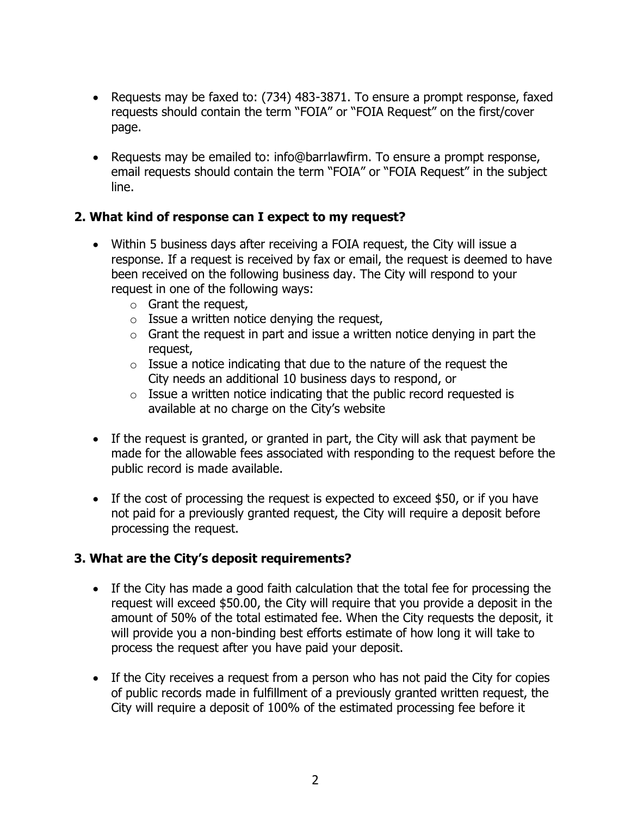- Requests may be faxed to: (734) 483-3871. To ensure a prompt response, faxed requests should contain the term "FOIA" or "FOIA Request" on the first/cover page.
- Requests may be emailed to: info@barrlawfirm. To ensure a prompt response, email requests should contain the term "FOIA" or "FOIA Request" in the subject line.

## **2. What kind of response can I expect to my request?**

- Within 5 business days after receiving a FOIA request, the City will issue a response. If a request is received by fax or email, the request is deemed to have been received on the following business day. The City will respond to your request in one of the following ways:
	- o Grant the request,
	- $\circ$  Issue a written notice denying the request,
	- $\circ$  Grant the request in part and issue a written notice denying in part the request,
	- $\circ$  Issue a notice indicating that due to the nature of the request the City needs an additional 10 business days to respond, or
	- $\circ$  Issue a written notice indicating that the public record requested is available at no charge on the City's website
- If the request is granted, or granted in part, the City will ask that payment be made for the allowable fees associated with responding to the request before the public record is made available.
- If the cost of processing the request is expected to exceed \$50, or if you have not paid for a previously granted request, the City will require a deposit before processing the request.

## **3. What are the City's deposit requirements?**

- If the City has made a good faith calculation that the total fee for processing the request will exceed \$50.00, the City will require that you provide a deposit in the amount of 50% of the total estimated fee. When the City requests the deposit, it will provide you a non-binding best efforts estimate of how long it will take to process the request after you have paid your deposit.
- If the City receives a request from a person who has not paid the City for copies of public records made in fulfillment of a previously granted written request, the City will require a deposit of 100% of the estimated processing fee before it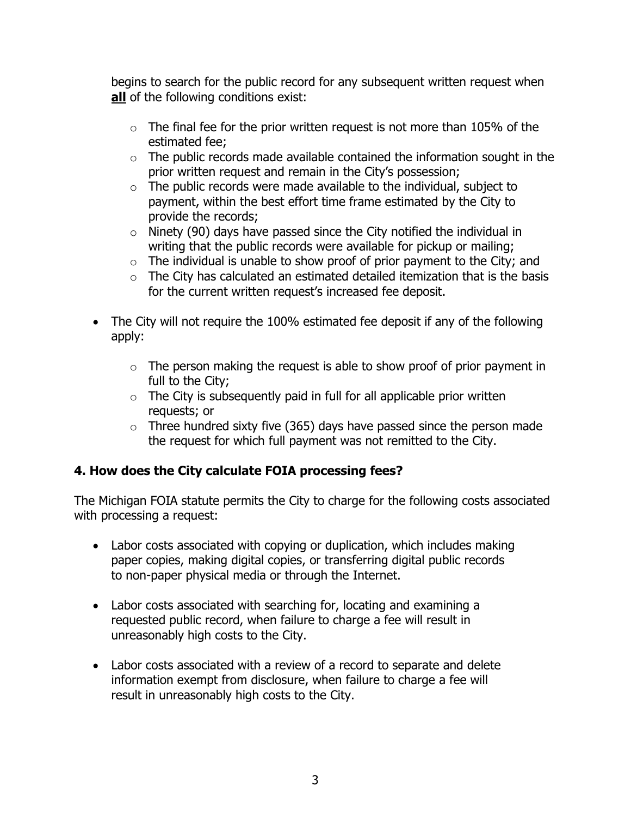begins to search for the public record for any subsequent written request when **all** of the following conditions exist:

- $\circ$  The final fee for the prior written request is not more than 105% of the estimated fee;
- $\circ$  The public records made available contained the information sought in the prior written request and remain in the City's possession;
- $\circ$  The public records were made available to the individual, subject to payment, within the best effort time frame estimated by the City to provide the records;
- $\circ$  Ninety (90) days have passed since the City notified the individual in writing that the public records were available for pickup or mailing;
- $\circ$  The individual is unable to show proof of prior payment to the City; and
- $\circ$  The City has calculated an estimated detailed itemization that is the basis for the current written request's increased fee deposit.
- The City will not require the 100% estimated fee deposit if any of the following apply:
	- $\circ$  The person making the request is able to show proof of prior payment in full to the City;
	- $\circ$  The City is subsequently paid in full for all applicable prior written requests; or
	- $\circ$  Three hundred sixty five (365) days have passed since the person made the request for which full payment was not remitted to the City.

## **4. How does the City calculate FOIA processing fees?**

The Michigan FOIA statute permits the City to charge for the following costs associated with processing a request:

- Labor costs associated with copying or duplication, which includes making paper copies, making digital copies, or transferring digital public records to non-paper physical media or through the Internet.
- Labor costs associated with searching for, locating and examining a requested public record, when failure to charge a fee will result in unreasonably high costs to the City.
- Labor costs associated with a review of a record to separate and delete information exempt from disclosure, when failure to charge a fee will result in unreasonably high costs to the City.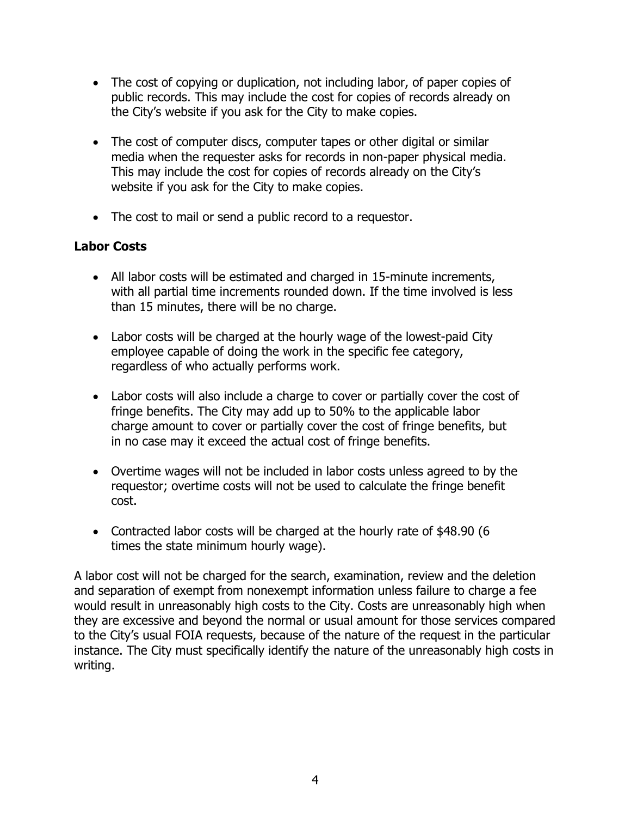- The cost of copying or duplication, not including labor, of paper copies of public records. This may include the cost for copies of records already on the City's website if you ask for the City to make copies.
- The cost of computer discs, computer tapes or other digital or similar media when the requester asks for records in non-paper physical media. This may include the cost for copies of records already on the City's website if you ask for the City to make copies.
- The cost to mail or send a public record to a requestor.

# **Labor Costs**

- All labor costs will be estimated and charged in 15-minute increments, with all partial time increments rounded down. If the time involved is less than 15 minutes, there will be no charge.
- Labor costs will be charged at the hourly wage of the lowest-paid City employee capable of doing the work in the specific fee category, regardless of who actually performs work.
- Labor costs will also include a charge to cover or partially cover the cost of fringe benefits. The City may add up to 50% to the applicable labor charge amount to cover or partially cover the cost of fringe benefits, but in no case may it exceed the actual cost of fringe benefits.
- Overtime wages will not be included in labor costs unless agreed to by the requestor; overtime costs will not be used to calculate the fringe benefit cost.
- Contracted labor costs will be charged at the hourly rate of \$48.90 (6 times the state minimum hourly wage).

A labor cost will not be charged for the search, examination, review and the deletion and separation of exempt from nonexempt information unless failure to charge a fee would result in unreasonably high costs to the City. Costs are unreasonably high when they are excessive and beyond the normal or usual amount for those services compared to the City's usual FOIA requests, because of the nature of the request in the particular instance. The City must specifically identify the nature of the unreasonably high costs in writing.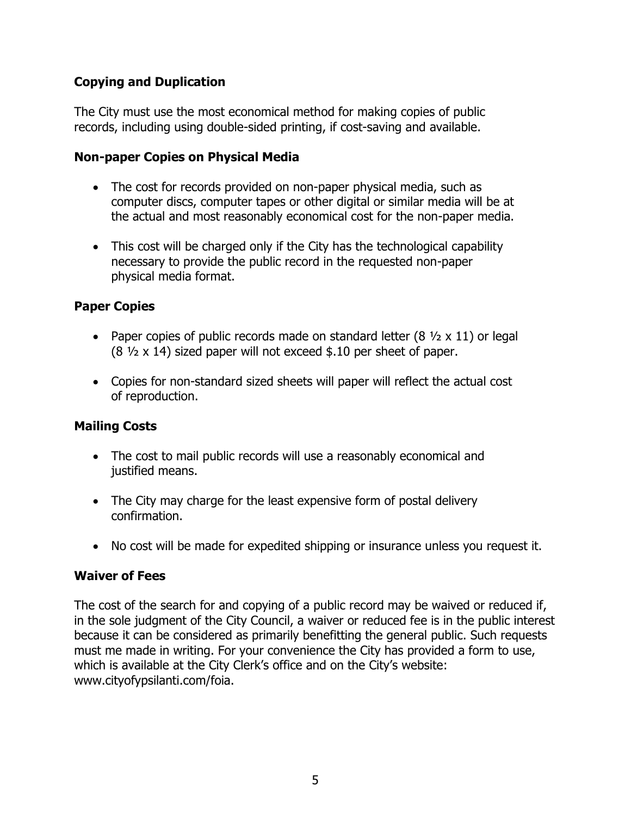## **Copying and Duplication**

The City must use the most economical method for making copies of public records, including using double-sided printing, if cost-saving and available.

### **Non-paper Copies on Physical Media**

- The cost for records provided on non-paper physical media, such as computer discs, computer tapes or other digital or similar media will be at the actual and most reasonably economical cost for the non-paper media.
- This cost will be charged only if the City has the technological capability necessary to provide the public record in the requested non-paper physical media format.

# **Paper Copies**

- Paper copies of public records made on standard letter  $(8 \frac{1}{2} \times 11)$  or legal  $(8 \frac{1}{2} \times 14)$  sized paper will not exceed \$.10 per sheet of paper.
- Copies for non-standard sized sheets will paper will reflect the actual cost of reproduction.

## **Mailing Costs**

- The cost to mail public records will use a reasonably economical and justified means.
- The City may charge for the least expensive form of postal delivery confirmation.
- No cost will be made for expedited shipping or insurance unless you request it.

## **Waiver of Fees**

The cost of the search for and copying of a public record may be waived or reduced if, in the sole judgment of the City Council, a waiver or reduced fee is in the public interest because it can be considered as primarily benefitting the general public. Such requests must me made in writing. For your convenience the City has provided a form to use, which is available at the City Clerk's office and on the City's website: www.cityofypsilanti.com/foia.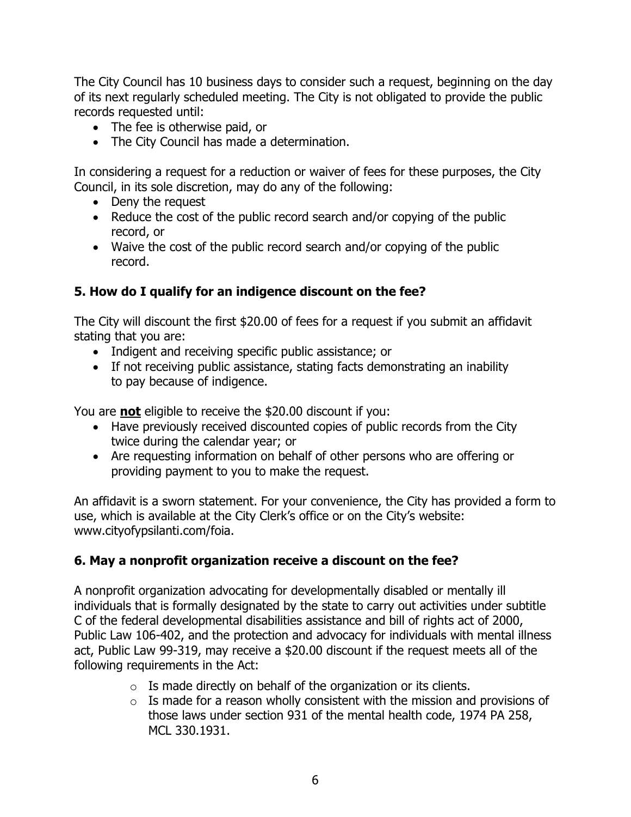The City Council has 10 business days to consider such a request, beginning on the day of its next regularly scheduled meeting. The City is not obligated to provide the public records requested until:

- The fee is otherwise paid, or
- The City Council has made a determination.

In considering a request for a reduction or waiver of fees for these purposes, the City Council, in its sole discretion, may do any of the following:

- Deny the request
- Reduce the cost of the public record search and/or copying of the public record, or
- Waive the cost of the public record search and/or copying of the public record.

## **5. How do I qualify for an indigence discount on the fee?**

The City will discount the first \$20.00 of fees for a request if you submit an affidavit stating that you are:

- Indigent and receiving specific public assistance; or
- If not receiving public assistance, stating facts demonstrating an inability to pay because of indigence.

You are **not** eligible to receive the \$20.00 discount if you:

- Have previously received discounted copies of public records from the City twice during the calendar year; or
- Are requesting information on behalf of other persons who are offering or providing payment to you to make the request.

An affidavit is a sworn statement. For your convenience, the City has provided a form to use, which is available at the City Clerk's office or on the City's website: www.cityofypsilanti.com/foia.

## **6. May a nonprofit organization receive a discount on the fee?**

A nonprofit organization advocating for developmentally disabled or mentally ill individuals that is formally designated by the state to carry out activities under subtitle C of the federal developmental disabilities assistance and bill of rights act of 2000, Public Law 106-402, and the protection and advocacy for individuals with mental illness act, Public Law 99-319, may receive a \$20.00 discount if the request meets all of the following requirements in the Act:

- $\circ$  Is made directly on behalf of the organization or its clients.
- $\circ$  Is made for a reason wholly consistent with the mission and provisions of those laws under section 931 of the mental health code, 1974 PA 258, MCL 330.1931.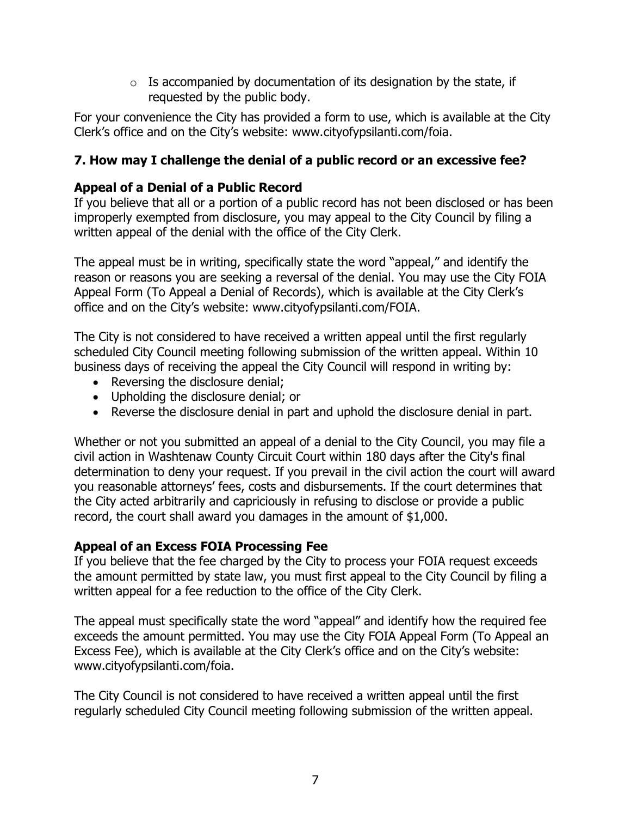$\circ$  Is accompanied by documentation of its designation by the state, if requested by the public body.

For your convenience the City has provided a form to use, which is available at the City Clerk's office and on the City's website: www.cityofypsilanti.com/foia.

# **7. How may I challenge the denial of a public record or an excessive fee?**

## **Appeal of a Denial of a Public Record**

If you believe that all or a portion of a public record has not been disclosed or has been improperly exempted from disclosure, you may appeal to the City Council by filing a written appeal of the denial with the office of the City Clerk.

The appeal must be in writing, specifically state the word "appeal," and identify the reason or reasons you are seeking a reversal of the denial. You may use the City FOIA Appeal Form (To Appeal a Denial of Records), which is available at the City Clerk's office and on the City's website: www.cityofypsilanti.com/FOIA.

The City is not considered to have received a written appeal until the first regularly scheduled City Council meeting following submission of the written appeal. Within 10 business days of receiving the appeal the City Council will respond in writing by:

- Reversing the disclosure denial;
- Upholding the disclosure denial; or
- Reverse the disclosure denial in part and uphold the disclosure denial in part.

Whether or not you submitted an appeal of a denial to the City Council, you may file a civil action in Washtenaw County Circuit Court within 180 days after the City's final determination to deny your request. If you prevail in the civil action the court will award you reasonable attorneys' fees, costs and disbursements. If the court determines that the City acted arbitrarily and capriciously in refusing to disclose or provide a public record, the court shall award you damages in the amount of \$1,000.

#### **Appeal of an Excess FOIA Processing Fee**

If you believe that the fee charged by the City to process your FOIA request exceeds the amount permitted by state law, you must first appeal to the City Council by filing a written appeal for a fee reduction to the office of the City Clerk.

The appeal must specifically state the word "appeal" and identify how the required fee exceeds the amount permitted. You may use the City FOIA Appeal Form (To Appeal an Excess Fee), which is available at the City Clerk's office and on the City's website: www.cityofypsilanti.com/foia.

The City Council is not considered to have received a written appeal until the first regularly scheduled City Council meeting following submission of the written appeal.